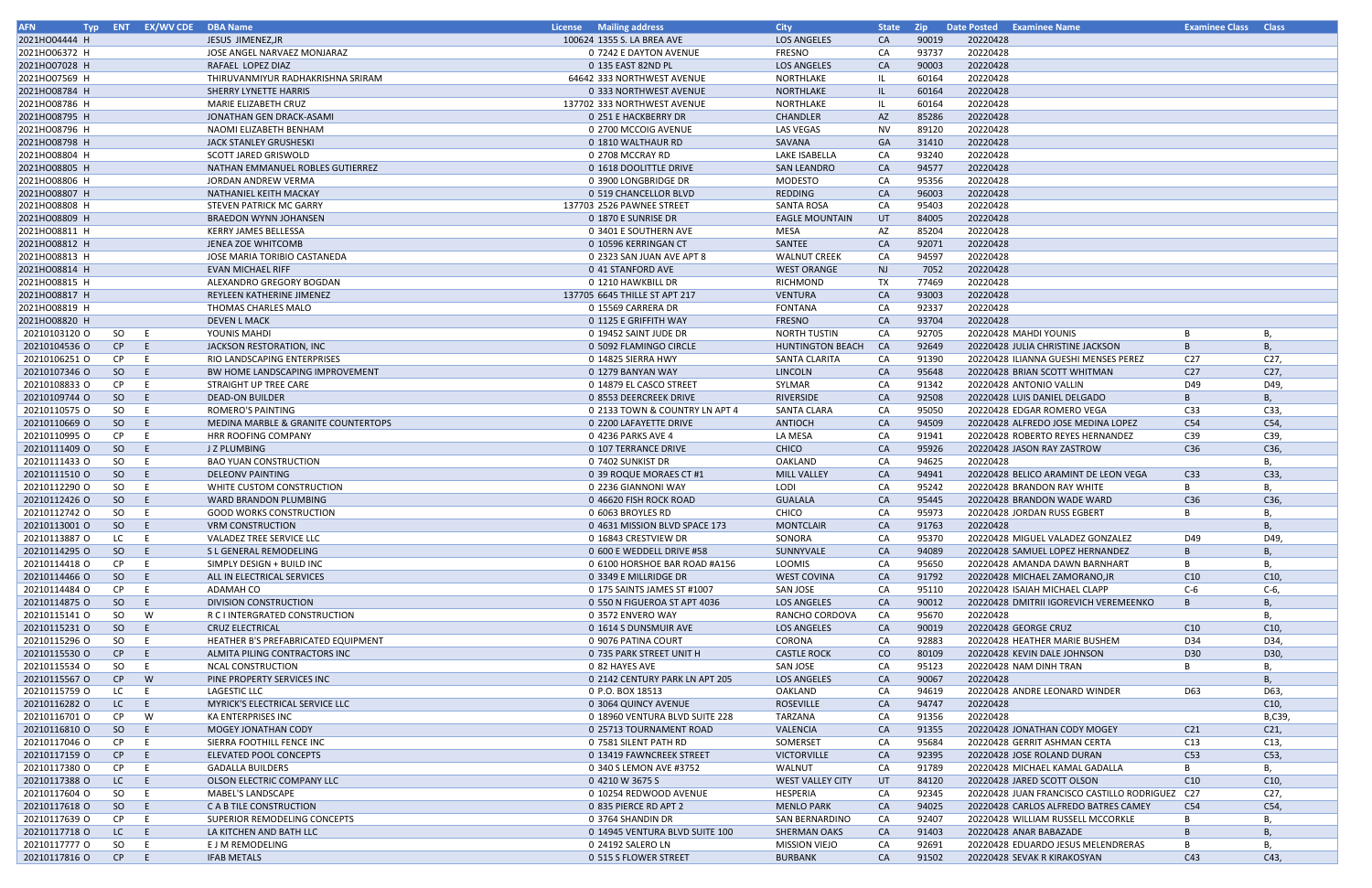| <b>AFN</b>    |               | Typ ENT EX/WV CDE DBA Name |                                     | <b>License</b> Mailing address | <b>City</b>             | <b>State</b> | <b>Zip</b> | Date Posted Examinee Name                      | <b>Examinee Class Class</b> |                 |
|---------------|---------------|----------------------------|-------------------------------------|--------------------------------|-------------------------|--------------|------------|------------------------------------------------|-----------------------------|-----------------|
| 2021HO04444 H |               |                            | JESUS JIMENEZ, JR                   | 100624 1355 S. LA BREA AVE     | <b>LOS ANGELES</b>      | <b>CA</b>    | 90019      | 20220428                                       |                             |                 |
| 2021HO06372 H |               |                            | JOSE ANGEL NARVAEZ MONJARAZ         | 0 7242 E DAYTON AVENUE         | FRESNO                  | CA           | 93737      | 20220428                                       |                             |                 |
|               |               |                            |                                     |                                |                         | CA           | 90003      | 20220428                                       |                             |                 |
| 2021HO07028 H |               |                            | RAFAEL LOPEZ DIAZ                   | 0 135 EAST 82ND PL             | <b>LOS ANGELES</b>      |              |            |                                                |                             |                 |
| 2021HO07569 H |               |                            | THIRUVANMIYUR RADHAKRISHNA SRIRAM   | 64642 333 NORTHWEST AVENUE     | NORTHLAKE               |              | 60164      | 20220428                                       |                             |                 |
| 2021HO08784 H |               |                            | SHERRY LYNETTE HARRIS               | 0 333 NORTHWEST AVENUE         | NORTHLAKE               | -IL.         | 60164      | 20220428                                       |                             |                 |
| 2021HO08786 H |               |                            | MARIE ELIZABETH CRUZ                | 137702 333 NORTHWEST AVENUE    | NORTHLAKE               |              | 60164      | 20220428                                       |                             |                 |
| 2021HO08795 H |               |                            | JONATHAN GEN DRACK-ASAMI            | 0 251 E HACKBERRY DR           | CHANDLER                | AZ           | 85286      | 20220428                                       |                             |                 |
| 2021HO08796 H |               |                            | NAOMI ELIZABETH BENHAM              | 0 2700 MCCOIG AVENUE           | LAS VEGAS               | <b>NV</b>    | 89120      | 20220428                                       |                             |                 |
| 2021HO08798 H |               |                            | JACK STANLEY GRUSHESKI              | 0 1810 WALTHAUR RD             | SAVANA                  | GA           | 31410      | 20220428                                       |                             |                 |
|               |               |                            |                                     |                                |                         |              |            |                                                |                             |                 |
| 2021HO08804 H |               |                            | SCOTT JARED GRISWOLD                | 0 2708 MCCRAY RD               | <b>LAKE ISABELLA</b>    | CA           | 93240      | 20220428                                       |                             |                 |
| 2021HO08805 H |               |                            | NATHAN EMMANUEL ROBLES GUTIERREZ    | 0 1618 DOOLITTLE DRIVE         | <b>SAN LEANDRO</b>      | CA           | 94577      | 20220428                                       |                             |                 |
| 2021HO08806 H |               |                            | JORDAN ANDREW VERMA                 | 0 3900 LONGBRIDGE DR           | <b>MODESTO</b>          | CA           | 95356      | 20220428                                       |                             |                 |
| 2021HO08807 H |               |                            | NATHANIEL KEITH MACKAY              | 0 519 CHANCELLOR BLVD          | <b>REDDING</b>          | CA           | 96003      | 20220428                                       |                             |                 |
| 2021HO08808 H |               |                            | STEVEN PATRICK MC GARRY             | 137703 2526 PAWNEE STREET      | <b>SANTA ROSA</b>       | CA           | 95403      | 20220428                                       |                             |                 |
| 2021HO08809 H |               |                            | <b>BRAEDON WYNN JOHANSEN</b>        | 0 1870 E SUNRISE DR            | <b>EAGLE MOUNTAIN</b>   | UT           | 84005      | 20220428                                       |                             |                 |
| 2021HO08811 H |               |                            | <b>KERRY JAMES BELLESSA</b>         | 0 3401 E SOUTHERN AVE          | MESA                    | AZ           | 85204      | 20220428                                       |                             |                 |
|               |               |                            |                                     |                                |                         |              |            |                                                |                             |                 |
| 2021HO08812 H |               |                            | <b>JENEA ZOE WHITCOMB</b>           | 0 10596 KERRINGAN CT           | SANTEE                  | CA           | 92071      | 20220428                                       |                             |                 |
| 2021HO08813 H |               |                            | JOSE MARIA TORIBIO CASTANEDA        | 0 2323 SAN JUAN AVE APT 8      | <b>WALNUT CREEK</b>     | CA           | 94597      | 20220428                                       |                             |                 |
| 2021HO08814 H |               |                            | <b>EVAN MICHAEL RIFF</b>            | 0 41 STANFORD AVE              | <b>WEST ORANGE</b>      | <b>NJ</b>    | 7052       | 20220428                                       |                             |                 |
| 2021HO08815 H |               |                            | ALEXANDRO GREGORY BOGDAN            | 0 1210 HAWKBILL DR             | <b>RICHMOND</b>         | TX           | 77469      | 20220428                                       |                             |                 |
| 2021HO08817 H |               |                            | REYLEEN KATHERINE JIMENEZ           | 137705 6645 THILLE ST APT 217  | VENTURA                 | CA           | 93003      | 20220428                                       |                             |                 |
| 2021HO08819 H |               |                            | THOMAS CHARLES MALO                 | 0 15569 CARRERA DR             | <b>FONTANA</b>          | CA           | 92337      | 20220428                                       |                             |                 |
| 2021HO08820 H |               |                            | <b>DEVEN L MACK</b>                 | 0 1125 E GRIFFITH WAY          | <b>FRESNO</b>           | CA           | 93704      | 20220428                                       |                             |                 |
|               |               |                            |                                     |                                | <b>NORTH TUSTIN</b>     |              |            |                                                |                             |                 |
| 20210103120 O | SO            | E.                         | YOUNIS MAHDI                        | 0 19452 SAINT JUDE DR          |                         | CA           | 92705      | 20220428 MAHDI YOUNIS                          | B                           | В,              |
| 20210104536 O | CP            | E.                         | JACKSON RESTORATION, INC            | 0 5092 FLAMINGO CIRCLE         | <b>HUNTINGTON BEACH</b> | <b>CA</b>    | 92649      | 20220428 JULIA CHRISTINE JACKSON               | $\overline{B}$              | B               |
| 20210106251 O | CP            | E.                         | RIO LANDSCAPING ENTERPRISES         | 0 14825 SIERRA HWY             | SANTA CLARITA           | CA           | 91390      | 20220428 ILIANNA GUESHI MENSES PEREZ           | C <sub>27</sub>             | C27,            |
| 20210107346 O | <sub>SO</sub> | E                          | BW HOME LANDSCAPING IMPROVEMENT     | 0 1279 BANYAN WAY              | LINCOLN                 | CA           | 95648      | 20220428 BRIAN SCOTT WHITMAN                   | C27                         | C27,            |
| 20210108833 O | CP.           | E.                         | STRAIGHT UP TREE CARE               | 0 14879 EL CASCO STREET        | SYLMAR                  | CA           | 91342      | 20220428 ANTONIO VALLIN                        | D49                         | D49,            |
| 20210109744 O | SO            | E.                         | <b>DEAD-ON BUILDER</b>              | 0 8553 DEERCREEK DRIVE         | RIVERSIDE               | CA           | 92508      | 20220428 LUIS DANIEL DELGADO                   | B                           | B               |
|               |               |                            |                                     |                                |                         |              | 95050      |                                                |                             |                 |
| 20210110575 O | SO.           | E.                         | ROMERO'S PAINTING                   | 0 2133 TOWN & COUNTRY LN APT 4 | SANTA CLARA             | CA           |            | 20220428 EDGAR ROMERO VEGA                     | C <sub>33</sub>             | C33,            |
| 20210110669 O | SO            | E.                         | MEDINA MARBLE & GRANITE COUNTERTOPS | 0 2200 LAFAYETTE DRIVE         | ANTIOCH                 | CA           | 94509      | 20220428 ALFREDO JOSE MEDINA LOPEZ             | C54                         | C54,            |
| 20210110995 O | CP            | E.                         | <b>HRR ROOFING COMPANY</b>          | 0 4236 PARKS AVE 4             | LA MESA                 | CA           | 91941      | 20220428 ROBERTO REYES HERNANDEZ               | C39                         | C39,            |
| 20210111409 O | <sub>SO</sub> | E                          | J Z PLUMBING                        | 0 107 TERRANCE DRIVE           | CHICO                   | CA           | 95926      | 20220428 JASON RAY ZASTROW                     | C36                         | C36,            |
| 20210111433 O | SO            | E.                         | <b>BAO YUAN CONSTRUCTION</b>        | 0 7402 SUNKIST DR              | OAKLAND                 | CA           | 94625      | 20220428                                       |                             | В.              |
| 20210111510 O | SO            | E.                         | <b>DELEONV PAINTING</b>             | 0 39 ROQUE MORAES CT #1        | <b>MILL VALLEY</b>      | CA           | 94941      | 20220428 BELICO ARAMINT DE LEON VEGA           | C <sub>33</sub>             | C33,            |
| 20210112290 O | SO.           | E.                         | WHITE CUSTOM CONSTRUCTION           | 0 2236 GIANNONI WAY            | LODI                    | CA           | 95242      | 20220428 BRANDON RAY WHITE                     | B                           | В,              |
|               |               |                            |                                     |                                |                         |              |            |                                                |                             |                 |
| 20210112426 O | SO.           | E                          | WARD BRANDON PLUMBING               | 0 46620 FISH ROCK ROAD         | <b>GUALALA</b>          | CA           | 95445      | 20220428 BRANDON WADE WARD                     | C36                         | C36,            |
| 20210112742 0 | SO            | E.                         | <b>GOOD WORKS CONSTRUCTION</b>      | 0 6063 BROYLES RD              | CHICO                   | CA           | 95973      | 20220428 JORDAN RUSS EGBERT                    | B                           |                 |
| 20210113001 O | SO            | E                          | <b>VRM CONSTRUCTION</b>             | 0 4631 MISSION BLVD SPACE 173  | <b>MONTCLAIR</b>        | CA           | 91763      | 20220428                                       |                             | В,              |
| 20210113887 O | LC.           | E.                         | VALADEZ TREE SERVICE LLC            | 0 16843 CRESTVIEW DR           | SONORA                  | CA           | 95370      | 20220428 MIGUEL VALADEZ GONZALEZ               | D49                         | D49,            |
| 20210114295 O | SO            | E.                         | S L GENERAL REMODELING              | 0 600 E WEDDELL DRIVE #58      | SUNNYVALE               | CA           | 94089      | 20220428 SAMUEL LOPEZ HERNANDEZ                | B                           | B               |
| 20210114418 O | CP.           | E.                         | SIMPLY DESIGN + BUILD INC           | 0 6100 HORSHOE BAR ROAD #A156  | LOOMIS                  | CA           | 95650      | 20220428 AMANDA DAWN BARNHART                  | B                           | В,              |
| 20210114466 O | SO            | E                          | ALL IN ELECTRICAL SERVICES          | 0 3349 E MILLRIDGE DR          | <b>WEST COVINA</b>      | CA           | 91792      | 20220428 MICHAEL ZAMORANO, JR                  | C10                         | C10,            |
|               |               |                            |                                     |                                |                         | CA           |            | 20220428 ISAIAH MICHAEL CLAPP                  |                             |                 |
| 20210114484 O | CP.           | E.                         | ADAMAH CO                           | 0 175 SAINTS JAMES ST #1007    | SAN JOSE                |              | 95110      |                                                | C-6                         | $C-6$ ,         |
| 20210114875 O | SO            | E                          | DIVISION CONSTRUCTION               | 0 550 N FIGUEROA ST APT 4036   | <b>LOS ANGELES</b>      | CA           | 90012      | 20220428 DMITRII IGOREVICH VEREMEENKO          | B                           | B,              |
| 20210115141 0 | SO            | W                          | R C I INTERGRATED CONSTRUCTION      | 0 3572 ENVERO WAY              | RANCHO CORDOVA          | CA           | 95670      | 20220428                                       |                             | В.              |
| 20210115231 0 | -SO           | E.                         | <b>CRUZ ELECTRICAL</b>              | 0 1614 S DUNSMUIR AVE          | <b>LOS ANGELES</b>      | CA           | 90019      | 20220428 GEORGE CRUZ                           | C10                         | C10,            |
| 20210115296 O | SO.           | E.                         | HEATHER B'S PREFABRICATED EQUIPMENT | 0 9076 PATINA COURT            | CORONA                  | CA           | 92883      | 20220428 HEATHER MARIE BUSHEM                  | D34                         | D34,            |
| 20210115530 O | CP            | E.                         | ALMITA PILING CONTRACTORS INC       | 0 735 PARK STREET UNIT H       | <b>CASTLE ROCK</b>      | CO           | 80109      | 20220428 KEVIN DALE JOHNSON                    | D30                         | D30,            |
| 20210115534 O | SO.           | E.                         | <b>NCAL CONSTRUCTION</b>            | 0 82 HAYES AVE                 | SAN JOSE                | CA           | 95123      | 20220428 NAM DINH TRAN                         | B                           | В,              |
|               |               |                            |                                     |                                |                         |              |            | 20220428                                       |                             |                 |
| 20210115567 O | CP            | W                          | PINE PROPERTY SERVICES INC          | 0 2142 CENTURY PARK LN APT 205 | <b>LOS ANGELES</b>      | CA           | 90067      |                                                |                             | B               |
| 20210115759 O | LC            | E.                         | LAGESTIC LLC                        | 0 P.O. BOX 18513               | OAKLAND                 | CA           | 94619      | 20220428 ANDRE LEONARD WINDER                  | D63                         | D63,            |
| 20210116282 O | LC            | E.                         | MYRICK'S ELECTRICAL SERVICE LLC     | 0 3064 QUINCY AVENUE           | <b>ROSEVILLE</b>        | CA           | 94747      | 20220428                                       |                             | C10,            |
| 20210116701 O | CP            | W                          | KA ENTERPRISES INC                  | 0 18960 VENTURA BLVD SUITE 228 | TARZANA                 | CA           | 91356      | 20220428                                       |                             | B,C39,          |
| 20210116810 O | SO            | E.                         | MOGEY JONATHAN CODY                 | 0 25713 TOURNAMENT ROAD        | VALENCIA                | CA           | 91355      | 20220428 JONATHAN CODY MOGEY                   | C <sub>21</sub>             | C <sub>21</sub> |
| 20210117046 O | CP.           | E.                         | SIERRA FOOTHILL FENCE INC           | 0 7581 SILENT PATH RD          | SOMERSET                | CA           | 95684      | 20220428 GERRIT ASHMAN CERTA                   | C13                         | C13,            |
| 20210117159 O | CP            | E.                         | ELEVATED POOL CONCEPTS              | 0 13419 FAWNCREEK STREET       | <b>VICTORVILLE</b>      | CA           | 92395      | 20220428 JOSE ROLAND DURAN                     | C53                         | C53,            |
|               |               |                            |                                     |                                |                         |              |            |                                                |                             |                 |
| 20210117380 O | CP.           | E.                         | <b>GADALLA BUILDERS</b>             | 0 340 S LEMON AVE #3752        | WALNUT                  | CA           | 91789      | 20220428 MICHAEL KAMAL GADALLA                 | B                           | В.              |
| 20210117388 O | LC.           | E.                         | OLSON ELECTRIC COMPANY LLC          | 0 4210 W 3675 S                | WEST VALLEY CITY        | UT           | 84120      | 20220428 JARED SCOTT OLSON                     | C10                         | C10,            |
| 20210117604 O | SO.           | E.                         | MABEL'S LANDSCAPE                   | 0 10254 REDWOOD AVENUE         | HESPERIA                | CA           | 92345      | 20220428 JUAN FRANCISCO CASTILLO RODRIGUEZ C27 |                             | C27,            |
| 20210117618 O | SO            | E.                         | C A B TILE CONSTRUCTION             | 0 835 PIERCE RD APT 2          | <b>MENLO PARK</b>       | CA           | 94025      | 20220428 CARLOS ALFREDO BATRES CAMEY           | C54                         | C54,            |
| 20210117639 O | CP            | E.                         | SUPERIOR REMODELING CONCEPTS        | 0 3764 SHANDIN DR              | SAN BERNARDINO          | CA           | 92407      | 20220428 WILLIAM RUSSELL MCCORKLE              | в                           |                 |
| 20210117718 O | LC            | E.                         | LA KITCHEN AND BATH LLC             | 0 14945 VENTURA BLVD SUITE 100 | <b>SHERMAN OAKS</b>     | CA           | 91403      | 20220428 ANAR BABAZADE                         | B                           | B               |
| 20210117777 0 | SO            | E.                         | E J M REMODELING                    | 0 24192 SALERO LN              | <b>MISSION VIEJO</b>    | CA           | 92691      | 20220428 EDUARDO JESUS MELENDRERAS             | B                           | В,              |
|               |               |                            |                                     |                                |                         |              |            |                                                |                             |                 |
| 20210117816 O | CP            | E.                         | <b>IFAB METALS</b>                  | 0 515 S FLOWER STREET          | <b>BURBANK</b>          | CA           | 91502      | 20220428 SEVAK R KIRAKOSYAN                    | C43                         | C43,            |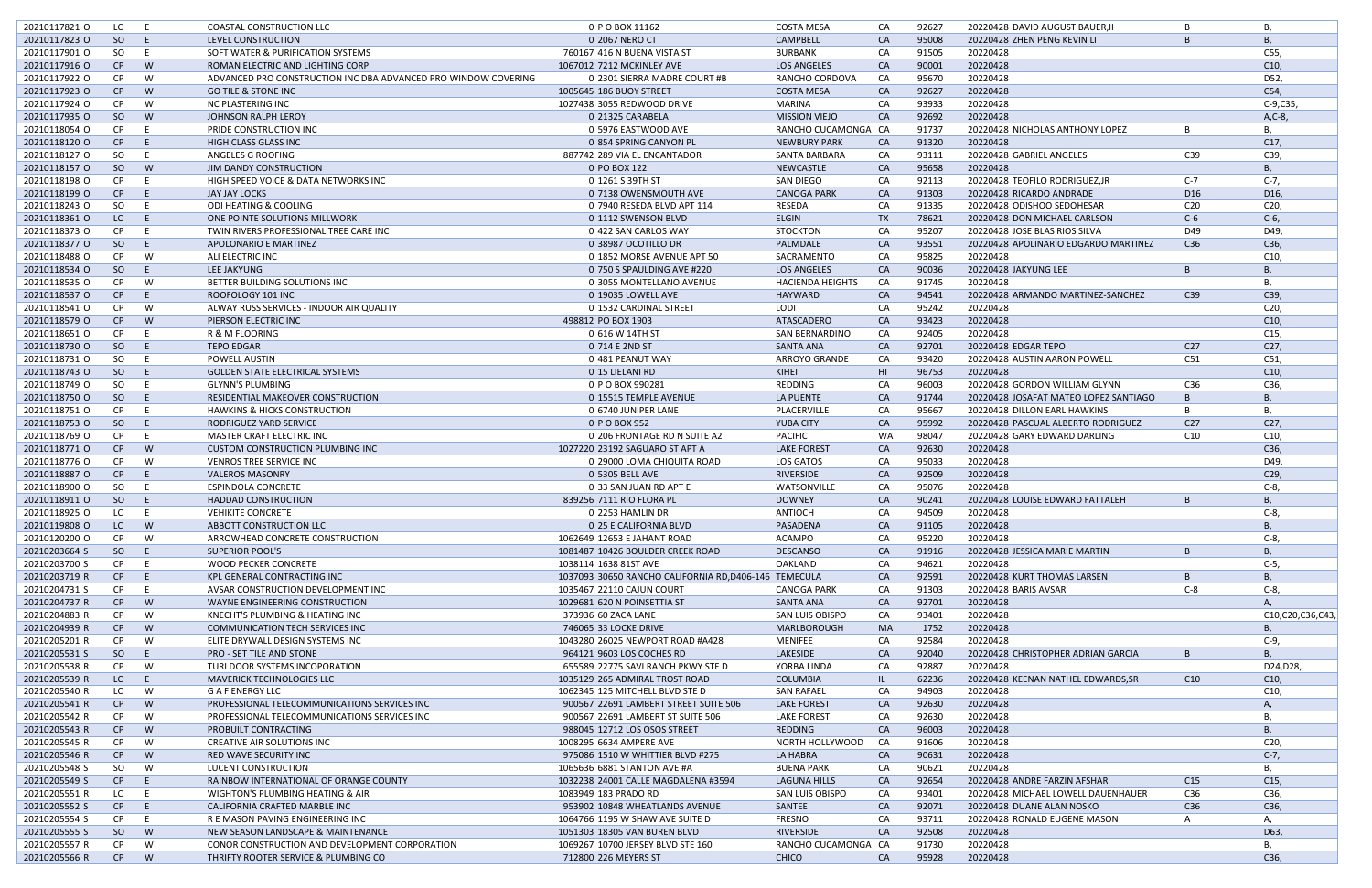| 20210117821 0 | LC            | E  | <b>COASTAL CONSTRUCTION LLC</b>                                | 0 P O BOX 11162                                       | <b>COSTA MESA</b>       | CA              | 92627 | 20220428 DAVID AUGUST BAUER, II       |                 | в                |
|---------------|---------------|----|----------------------------------------------------------------|-------------------------------------------------------|-------------------------|-----------------|-------|---------------------------------------|-----------------|------------------|
|               |               |    |                                                                |                                                       |                         |                 |       |                                       |                 |                  |
| 20210117823 0 | <sub>SO</sub> | E  | LEVEL CONSTRUCTION                                             | 0 2067 NERO CT                                        | CAMPBELL                | CA              | 95008 | 20220428 ZHEN PENG KEVIN LI           | B               | B                |
| 20210117901 0 | SO            | E  | SOFT WATER & PURIFICATION SYSTEMS                              | 760167 416 N BUENA VISTA ST                           | BURBANK                 | CA              | 91505 | 20220428                              |                 | C55,             |
| 20210117916 O | CP            | W  | ROMAN ELECTRIC AND LIGHTING CORP                               | 1067012 7212 MCKINLEY AVE                             | <b>LOS ANGELES</b>      | CA              | 90001 | 20220428                              |                 | C10,             |
| 20210117922 O | <b>CP</b>     | W  | ADVANCED PRO CONSTRUCTION INC DBA ADVANCED PRO WINDOW COVERING | 0 2301 SIERRA MADRE COURT #B                          | RANCHO CORDOVA          | CA              | 95670 | 20220428                              |                 | D52,             |
|               |               |    |                                                                |                                                       |                         |                 |       |                                       |                 |                  |
| 20210117923 O | CP            | W  | <b>GO TILE &amp; STONE INC</b>                                 | 1005645 186 BUOY STREET                               | <b>COSTA MESA</b>       | CA              | 92627 | 20220428                              |                 | C54,             |
| 20210117924 O | CP            | W  | NC PLASTERING INC                                              | 1027438 3055 REDWOOD DRIVE                            | MARINA                  | CA              | 93933 | 20220428                              |                 | $C-9, C35,$      |
| 20210117935 O | -SO           | W  | JOHNSON RALPH LEROY                                            | 0 21325 CARABELA                                      | <b>MISSION VIEJO</b>    | CA              | 92692 | 20220428                              |                 | A, C-8,          |
| 20210118054 O | CP            | E. | PRIDE CONSTRUCTION INC                                         | 0 5976 EASTWOOD AVE                                   | RANCHO CUCAMONGA CA     |                 | 91737 | 20220428 NICHOLAS ANTHONY LOPEZ       | B               | В.               |
|               |               |    |                                                                |                                                       |                         |                 |       |                                       |                 |                  |
| 20210118120 O | CP            | E  | <b>HIGH CLASS GLASS INC</b>                                    | 0 854 SPRING CANYON PL                                | <b>NEWBURY PARK</b>     | CA              | 91320 | 20220428                              |                 | C17,             |
| 20210118127 O | SO.           | E  | ANGELES G ROOFING                                              | 887742 289 VIA EL ENCANTADOR                          | SANTA BARBARA           | CA              | 93111 | 20220428 GABRIEL ANGELES              | C39             | C39,             |
| 20210118157 0 | <sub>SO</sub> | W  | <b>JIM DANDY CONSTRUCTION</b>                                  | 0 PO BOX 122                                          | NEWCASTLE               | CA              | 95658 | 20220428                              |                 | B                |
| 20210118198 O | CP.           | E  | HIGH SPEED VOICE & DATA NETWORKS INC                           | 0 1261 S 39TH ST                                      | SAN DIEGO               | CA              | 92113 | 20220428 TEOFILO RODRIGUEZ, JR        | $C-7$           | $C-7$            |
|               |               |    |                                                                |                                                       |                         |                 |       |                                       |                 |                  |
| 20210118199 O | CP            | E. | JAY JAY LOCKS                                                  | 0 7138 OWENSMOUTH AVE                                 | <b>CANOGA PARK</b>      | CA              | 91303 | 20220428 RICARDO ANDRADE              | D <sub>16</sub> | D <sub>16</sub>  |
| 20210118243 O | SO.           | E  | ODI HEATING & COOLING                                          | 0 7940 RESEDA BLVD APT 114                            | RESEDA                  | CA              | 91335 | 20220428 ODISHOO SEDOHESAR            | C <sub>20</sub> | C <sub>20</sub>  |
| 20210118361 O | LC            | E. | ONE POINTE SOLUTIONS MILLWORK                                  | 0 1112 SWENSON BLVD                                   | <b>ELGIN</b>            | TX              | 78621 | 20220428 DON MICHAEL CARLSON          | $C-6$           | $C-6$ ,          |
|               | <b>CP</b>     |    |                                                                |                                                       |                         | CA              | 95207 |                                       | D49             |                  |
| 20210118373 O |               | E. | TWIN RIVERS PROFESSIONAL TREE CARE INC                         | 0 422 SAN CARLOS WAY                                  | <b>STOCKTON</b>         |                 |       | 20220428 JOSE BLAS RIOS SILVA         |                 | D49,             |
| 20210118377 O | -SO           | E. | <b>APOLONARIO E MARTINEZ</b>                                   | 0 38987 OCOTILLO DR                                   | PALMDALE                | CA              | 93551 | 20220428 APOLINARIO EDGARDO MARTINEZ  | C36             | C36,             |
| 20210118488 O | CP            | W  | ALI ELECTRIC INC                                               | 0 1852 MORSE AVENUE APT 50                            | SACRAMENTO              | CA              | 95825 | 20220428                              |                 | C10,             |
| 20210118534 O | <sub>SO</sub> | E. | LEE JAKYUNG                                                    | 0 750 S SPAULDING AVE #220                            | <b>LOS ANGELES</b>      | CA              | 90036 | 20220428 JAKYUNG LEE                  | B               | B                |
|               |               |    |                                                                |                                                       |                         |                 |       |                                       |                 |                  |
| 20210118535 O | CP            | W  | BETTER BUILDING SOLUTIONS INC                                  | 0 3055 MONTELLANO AVENUE                              | <b>HACIENDA HEIGHTS</b> | CA              | 91745 | 20220428                              |                 | В,               |
| 20210118537 O | CP            | E  | ROOFOLOGY 101 INC                                              | 0 19035 LOWELL AVE                                    | HAYWARD                 | CA              | 94541 | 20220428 ARMANDO MARTINEZ-SANCHEZ     | C39             | C39,             |
| 20210118541 0 | CP            | W  | ALWAY RUSS SERVICES - INDOOR AIR QUALITY                       | 0 1532 CARDINAL STREET                                | LODI                    | CA              | 95242 | 20220428                              |                 | C20,             |
|               | CP            | W  |                                                                |                                                       | ATASCADERO              | CA              | 93423 |                                       |                 | C10,             |
| 20210118579 O |               |    | PIERSON ELECTRIC INC                                           | 498812 PO BOX 1903                                    |                         |                 |       | 20220428                              |                 |                  |
| 20210118651 O | CP            | E. | R & M FLOORING                                                 | 0 616 W 14TH ST                                       | SAN BERNARDINO          | CA              | 92405 | 20220428                              |                 | C <sub>15</sub>  |
| 20210118730 O | <sub>SO</sub> | E. | <b>TEPO EDGAR</b>                                              | 0 714 E 2ND ST                                        | <b>SANTA ANA</b>        | CA              | 92701 | 20220428 EDGAR TEPO                   | C27             | C27,             |
| 20210118731 O | SO.           | E. | POWELL AUSTIN                                                  | 0 481 PEANUT WAY                                      | <b>ARROYO GRANDE</b>    | CA              | 93420 | 20220428 AUSTIN AARON POWELI          | C51             | C51,             |
|               |               |    |                                                                |                                                       |                         |                 |       |                                       |                 |                  |
| 20210118743 O | SO            | E. | <b>GOLDEN STATE ELECTRICAL SYSTEMS</b>                         | 0 15 LIELANI RD                                       | KIHEI                   | H <sub>II</sub> | 96753 | 20220428                              |                 | C10,             |
| 20210118749 O | SO.           | E. | <b>GLYNN'S PLUMBING</b>                                        | 0 P O BOX 990281                                      | REDDING                 | CA              | 96003 | 20220428 GORDON WILLIAM GLYNN         | C36             | C36,             |
| 20210118750 O | SO            | E. | RESIDENTIAL MAKEOVER CONSTRUCTION                              | 0 15515 TEMPLE AVENUE                                 | <b>LA PUENTE</b>        | CA              | 91744 | 20220428 JOSAFAT MATEO LOPEZ SANTIAGO | B               | B,               |
| 20210118751 O | CP            | E. | <b>HAWKINS &amp; HICKS CONSTRUCTION</b>                        | 0 6740 JUNIPER LANE                                   | PLACERVILLE             | CA              | 95667 | 20220428 DILLON EARL HAWKINS          | B               | Β,               |
|               |               |    |                                                                |                                                       |                         |                 |       |                                       |                 |                  |
| 20210118753 O | <sub>SO</sub> | E  | RODRIGUEZ YARD SERVICE                                         | 0 P O BOX 952                                         | YUBA CITY               | CA              | 95992 | 20220428 PASCUAL ALBERTO RODRIGUEZ    | C <sub>27</sub> | C <sub>27</sub>  |
| 20210118769 O | CP.           | E. | MASTER CRAFT ELECTRIC INC                                      | 0 206 FRONTAGE RD N SUITE A2                          | <b>PACIFIC</b>          | <b>WA</b>       | 98047 | 20220428 GARY EDWARD DARLING          | C10             | C <sub>10</sub>  |
| 20210118771 0 | CP            | W  | <b>CUSTOM CONSTRUCTION PLUMBING INC</b>                        | 1027220 23192 SAGUARO ST APT A                        | <b>LAKE FOREST</b>      | CA              | 92630 | 20220428                              |                 | C36,             |
| 20210118776 O | CP            | W  | <b>VENROS TREE SERVICE INC</b>                                 | 0 29000 LOMA CHIQUITA ROAD                            | LOS GATOS               | CA              | 95033 | 20220428                              |                 | D49,             |
|               |               |    |                                                                |                                                       |                         |                 |       |                                       |                 |                  |
| 20210118887 O | CP            | E. | <b>VALEROS MASONRY</b>                                         | 0 5305 BELL AVE                                       | RIVERSIDE               | CA              | 92509 | 20220428                              |                 | C <sub>29</sub>  |
| 20210118900 O | SO.           | E. | <b>ESPINDOLA CONCRETE</b>                                      | 0 33 SAN JUAN RD APT E                                | WATSONVILLE             | CA              | 95076 | 20220428                              |                 | $C-8$            |
| 20210118911 O | <sub>SO</sub> | E. | <b>HADDAD CONSTRUCTION</b>                                     | 839256 7111 RIO FLORA PL                              | <b>DOWNEY</b>           | CA              | 90241 | 20220428 LOUISE EDWARD FATTALEH       | B               |                  |
| 20210118925 O | LC            | E  | <b>VEHIKITE CONCRETE</b>                                       | 0 2253 HAMLIN DR                                      | ANTIOCH                 | CA              | 94509 | 20220428                              |                 | $C-8$            |
|               |               |    |                                                                |                                                       |                         |                 |       |                                       |                 |                  |
| 20210119808 O | LC            | W  | ABBOTT CONSTRUCTION LLC                                        | 0 25 E CALIFORNIA BLVD                                | PASADENA                | CA              | 91105 | 20220428                              |                 | В,               |
| 20210120200 O | <b>CP</b>     | W  | ARROWHEAD CONCRETE CONSTRUCTION                                | 1062649 12653 E JAHANT ROAD                           | ACAMPO                  | CA              | 95220 | 20220428                              |                 | $C-8$            |
| 20210203664 S | SO.           | E. | <b>SUPERIOR POOL'S</b>                                         | 1081487 10426 BOULDER CREEK ROAD                      | <b>DESCANSO</b>         | CA              | 91916 | 20220428 JESSICA MARIE MARTIN         | B               | B                |
|               |               |    |                                                                |                                                       |                         |                 |       |                                       |                 |                  |
| 20210203700 S | CP            | E. | <b>WOOD PECKER CONCRETE</b>                                    | 1038114 1638 81ST AVE                                 | OAKLAND                 | CA              | 94621 | 20220428                              |                 | $C-5$            |
| 20210203719 R | CP            | E. | KPL GENERAL CONTRACTING INC                                    | 1037093 30650 RANCHO CALIFORNIA RD, D406-146 TEMECULA |                         | CA              | 92591 | 20220428 KURT THOMAS LARSEN           | B               | B                |
| 20210204731 S | CP            | E. | AVSAR CONSTRUCTION DEVELOPMENT INC                             | 1035467 22110 CAJUN COURT                             | <b>CANOGA PARK</b>      | CA              | 91303 | 20220428 BARIS AVSAR                  | $C-8$           | $C-8$            |
| 20210204737 R | CP            | W  | WAYNE ENGINEERING CONSTRUCTION                                 | 1029681 620 N POINSETTIA ST                           | SANTA ANA               | CA              | 92701 | 20220428                              |                 | $\mathsf{A}$     |
|               |               |    |                                                                |                                                       |                         |                 |       |                                       |                 |                  |
| 20210204883 R | CP.           | W  | KNECHT'S PLUMBING & HEATING INC                                | 373936 60 ZACA LANE                                   | <b>SAN LUIS OBISPO</b>  | CA              | 93401 | 20220428                              |                 | C10,C20,C36,C43, |
| 20210204939 R | CP            | W  | COMMUNICATION TECH SERVICES INC                                | 746065 33 LOCKE DRIVE                                 | MARLBOROUGH             | <b>MA</b>       | 1752  | 20220428                              |                 | B,               |
| 20210205201 R | CP.           | W  | ELITE DRYWALL DESIGN SYSTEMS INC                               | 1043280 26025 NEWPORT ROAD #A428                      | MENIFEE                 | CA              | 92584 | 20220428                              |                 | $C-9$            |
| 20210205531 S | SO            | E. | <b>PRO - SET TILE AND STONE</b>                                | 964121 9603 LOS COCHES RD                             | LAKESIDE                | CA              | 92040 | 20220428 CHRISTOPHER ADRIAN GARCIA    | B               | B,               |
|               |               |    |                                                                |                                                       |                         |                 |       |                                       |                 |                  |
| 20210205538 R | CP            | W  | TURI DOOR SYSTEMS INCOPORATION                                 | 655589 22775 SAVI RANCH PKWY STE D                    | YORBA LINDA             | CA              | 92887 | 20220428                              |                 | D24, D28,        |
| 20210205539 R | LC            | E. | <b>MAVERICK TECHNOLOGIES LLC</b>                               | 1035129 265 ADMIRAL TROST ROAD                        | <b>COLUMBIA</b>         | IL.             | 62236 | 20220428 KEENAN NATHEL EDWARDS, SR    | C10             | C10,             |
| 20210205540 R | LC            | W  | <b>GAFENERGY LLC</b>                                           | 1062345 125 MITCHELL BLVD STE D                       | <b>SAN RAFAEL</b>       | CA              | 94903 | 20220428                              |                 | C10,             |
| 20210205541 R | CP            | W  | PROFESSIONAL TELECOMMUNICATIONS SERVICES INC                   |                                                       | <b>LAKE FOREST</b>      | CA              | 92630 | 20220428                              |                 | А,               |
|               |               |    |                                                                | 900567 22691 LAMBERT STREET SUITE 506                 |                         |                 |       |                                       |                 |                  |
| 20210205542 R | CP            | W  | PROFESSIONAL TELECOMMUNICATIONS SERVICES INC                   | 900567 22691 LAMBERT ST SUITE 506                     | <b>LAKE FOREST</b>      | CA              | 92630 | 20220428                              |                 | В,               |
| 20210205543 R | CP            | W  | PROBUILT CONTRACTING                                           | 988045 12712 LOS OSOS STREET                          | REDDING                 | CA              | 96003 | 20220428                              |                 | B                |
| 20210205545 R | <b>CP</b>     | W  | CREATIVE AIR SOLUTIONS INC                                     | 1008295 6634 AMPERE AVE                               | NORTH HOLLYWOOD         | CA              | 91606 | 20220428                              |                 | C20,             |
|               |               |    |                                                                |                                                       |                         |                 |       |                                       |                 |                  |
| 20210205546 R | CP            | W  | RED WAVE SECURITY INC                                          | 975086 1510 W WHITTIER BLVD #275                      | LA HABRA                | CA              | 90631 | 20220428                              |                 | $C-7,$           |
| 20210205548 S | SO.           | W  | LUCENT CONSTRUCTION                                            | 1065636 6881 STANTON AVE #A                           | <b>BUENA PARK</b>       | CA              | 90621 | 20220428                              |                 | <b>B.</b>        |
| 20210205549 S | CP            | E. | RAINBOW INTERNATIONAL OF ORANGE COUNTY                         | 1032238 24001 CALLE MAGDALENA #3594                   | <b>LAGUNA HILLS</b>     | CA              | 92654 | 20220428 ANDRE FARZIN AFSHAR          | C15             | C15,             |
| 20210205551 R | LC.           | E. | WIGHTON'S PLUMBING HEATING & AIR                               | 1083949 183 PRADO RD                                  | SAN LUIS OBISPO         | CA              | 93401 | 20220428 MICHAEL LOWELL DAUENHAUER    | C36             | C36,             |
|               |               |    |                                                                |                                                       |                         |                 |       |                                       |                 |                  |
| 20210205552 S | CP            | E. | CALIFORNIA CRAFTED MARBLE INC                                  | 953902 10848 WHEATLANDS AVENUE                        | SANTEE                  | CA              | 92071 | 20220428 DUANE ALAN NOSKO             | C36             | C36,             |
| 20210205554 S | CP            | E. | R E MASON PAVING ENGINEERING INC                               | 1064766 1195 W SHAW AVE SUITE D                       | FRESNO                  | CA              | 93711 | 20220428 RONALD EUGENE MASON          | A               | Α,               |
| 20210205555 S | <sub>SO</sub> | W  | NEW SEASON LANDSCAPE & MAINTENANCE                             | 1051303 18305 VAN BUREN BLVD                          | RIVERSIDE               | CA              | 92508 | 20220428                              |                 | D63,             |
|               |               |    |                                                                |                                                       | RANCHO CUCAMONGA CA     |                 |       |                                       |                 |                  |
| 20210205557 R | CP            | W  | CONOR CONSTRUCTION AND DEVELOPMENT CORPORATION                 | 1069267 10700 JERSEY BLVD STE 160                     |                         |                 | 91730 | 20220428                              |                 |                  |
| 20210205566 R | CP            | W  | THRIFTY ROOTER SERVICE & PLUMBING CO                           | 712800 226 MEYERS ST                                  | <b>CHICO</b>            | CA              | 95928 | 20220428                              |                 | C36,             |